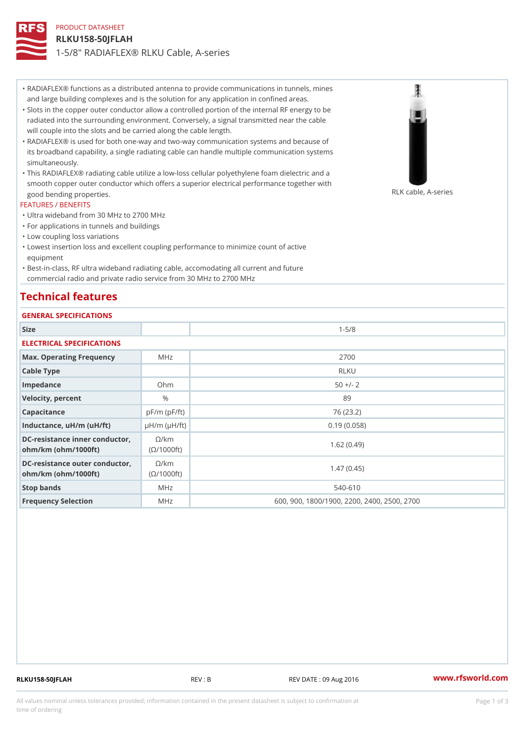# PRODUCT DATASHEET RLKU158-50JFLAH 1-5/8" RADIAFLEX® RLKU Cable, A-series

RADIAFLEX® functions as a distributed antenna to provide communications in tunnels, mines " and large building complexes and is the solution for any application in confined areas.

- Slots in the copper outer conductor allow a controlled portion of the internal RF energy to be " radiated into the surrounding environment. Conversely, a signal transmitted near the cable will couple into the slots and be carried along the cable length.
- RADIAFLEX® is used for both one-way and two-way communication systems and because of " its broadband capability, a single radiating cable can handle multiple communication systems simultaneously.
- This RADIAFLEX® radiating cable utilize a low-loss cellular polyethylene foam dielectric and a " smooth copper outer conductor which offers a superior electrical performance together with good bending properties. RLK cable, A-series

### FEATURES / BENEFITS

- "Ultra wideband from 30 MHz to 2700 MHz
- "For applications in tunnels and buildings
- "Low coupling loss variations
- Lowest insertion loss and excellent coupling performance to minimize count of active " equipment
- Best-in-class, RF ultra wideband radiating cable, accomodating all current and future " commercial radio and private radio service from 30 MHz to 2700 MHz

# Technical features

## GENERAL SPECIFICATIONS

| OLIVENAL OF EUIFIUA I IUNO                                    |                    |                                             |  |  |  |  |
|---------------------------------------------------------------|--------------------|---------------------------------------------|--|--|--|--|
| Size                                                          |                    | $1 - 5/8$                                   |  |  |  |  |
| ELECTRICAL SPECIFICATIONS                                     |                    |                                             |  |  |  |  |
| Max. Operating Frequency MHz                                  |                    | 2700                                        |  |  |  |  |
| Cable Type                                                    |                    | RLKU                                        |  |  |  |  |
| Impedance                                                     | $Oh$ m             | $50 +/- 2$                                  |  |  |  |  |
| Velocity, percent                                             | $\%$               | 89                                          |  |  |  |  |
| Capacitance                                                   | $pF/m$ ( $pF/ft$ ) | 76 (23.2)                                   |  |  |  |  |
| Inductance, $uH/m$ ( $uH/ft$ ) $\mu H/m$ ( $\mu H/ft$ )       |                    | 0.19(0.058)                                 |  |  |  |  |
| DC-resistance inner conduct/dxrm<br>$ohm/km$ ( $ohm/1000ft$ ) | $(O/1000$ ft)      | 1.62(0.49)                                  |  |  |  |  |
| DC-resistance outer condu@t/okm<br>$ohm/km$ ( $ohm/1000ft$ )  | (©/1000 ft)        | 1.47(0.45)                                  |  |  |  |  |
| Stop bands                                                    | M H z              | $540 - 610$                                 |  |  |  |  |
| Frequency Selection                                           | M H z              | 600, 900, 1800/1900, 2200, 2400, 2500, 2700 |  |  |  |  |

RLKU158-50JFLAH REV : B REV DATE : 09 Aug 2016 [www.](https://www.rfsworld.com)rfsworld.com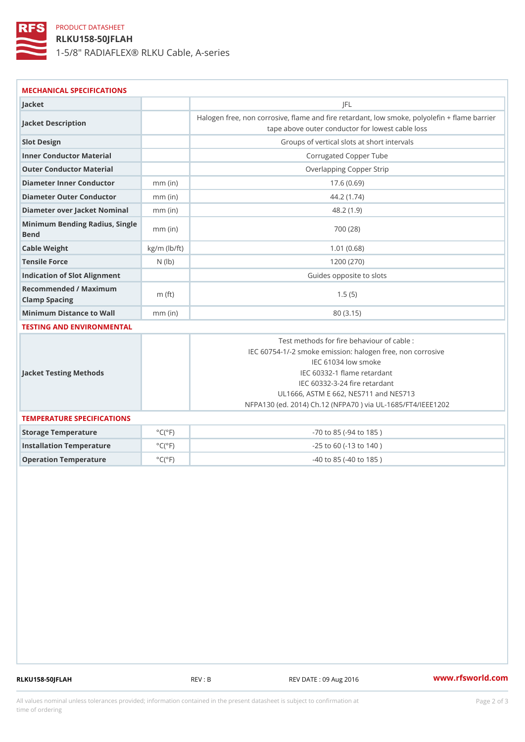# PRODUCT DATASHEET

RLKU158-50JFLAH 1-5/8" RADIAFLEX® RLKU Cable, A-series

| Jacket                                 |                              | J F L                                                                                                                                                                                                                                                                                     |  |  |  |
|----------------------------------------|------------------------------|-------------------------------------------------------------------------------------------------------------------------------------------------------------------------------------------------------------------------------------------------------------------------------------------|--|--|--|
| Jacket Description                     |                              | Halogen free, non corrosive, flame and fire retardant, low smoke<br>tape above outer conductor for lowest cable loss                                                                                                                                                                      |  |  |  |
| Slot Design                            |                              | Groups of vertical slots at short intervals                                                                                                                                                                                                                                               |  |  |  |
| Inner Conductor Material               |                              | Corrugated Copper Tube                                                                                                                                                                                                                                                                    |  |  |  |
| Outer Conductor Material               |                              | Overlapping Copper Strip                                                                                                                                                                                                                                                                  |  |  |  |
| Diameter Inner Conductor mm (in)       |                              | 17.6(0.69)                                                                                                                                                                                                                                                                                |  |  |  |
| Diameter Outer Conductormm (in)        |                              | 44.2(1.74)                                                                                                                                                                                                                                                                                |  |  |  |
| Diameter over Jacket Nommmal (in)      |                              | 48.2(1.9)                                                                                                                                                                                                                                                                                 |  |  |  |
| Minimum Bending Radius, Single<br>Bend |                              | 700 (28)                                                                                                                                                                                                                                                                                  |  |  |  |
| Cable Weight                           | $kg/m$ ( $lb/ft$ )           | 1.01(0.68)                                                                                                                                                                                                                                                                                |  |  |  |
| Tensile Force                          | $N$ ( $ b$ )                 | 1200 (270)                                                                                                                                                                                                                                                                                |  |  |  |
| Indication of Slot Alignment           |                              | Guides opposite to slots                                                                                                                                                                                                                                                                  |  |  |  |
| Recommended / Maximum<br>Clamp Spacing | m $({\it ft})$               | 1.5(5)                                                                                                                                                                                                                                                                                    |  |  |  |
| Minimum Distance to Wall mm (in)       |                              | 80 (3.15)                                                                                                                                                                                                                                                                                 |  |  |  |
| TESTING AND ENVIRONMENTAL              |                              |                                                                                                                                                                                                                                                                                           |  |  |  |
| Jacket Testing Methods                 |                              | Test methods for fire behaviour of cable :<br>IEC 60754-1/-2 smoke emission: halogen free, non corr<br>IEC 61034 low smoke<br>IEC 60332-1 flame retardant<br>IEC 60332-3-24 fire retardant<br>UL1666, ASTM E 662, NES711 and NES713<br>NFPA130 (ed. 2014) Ch.12 (NFPA70) via UL-1685/FT4/ |  |  |  |
| TEMPERATURE SPECIFICATIONS             |                              |                                                                                                                                                                                                                                                                                           |  |  |  |
| Storage Temperature                    | $^{\circ}$ C ( $^{\circ}$ F) | $-70$ to $85$ ( $-94$ to $185$ )                                                                                                                                                                                                                                                          |  |  |  |
| Installation Temperature               | $^{\circ}$ C ( $^{\circ}$ F) | $-25$ to 60 ( $-13$ to 140)                                                                                                                                                                                                                                                               |  |  |  |
| Operation Temperature                  | $^{\circ}$ C ( $^{\circ}$ F) | $-40$ to $85$ ( $-40$ to $185$ )                                                                                                                                                                                                                                                          |  |  |  |

RLKU158-50JFLAH REV : B REV : REV DATE : 09 Aug 2016 WWW.rfsworld.com